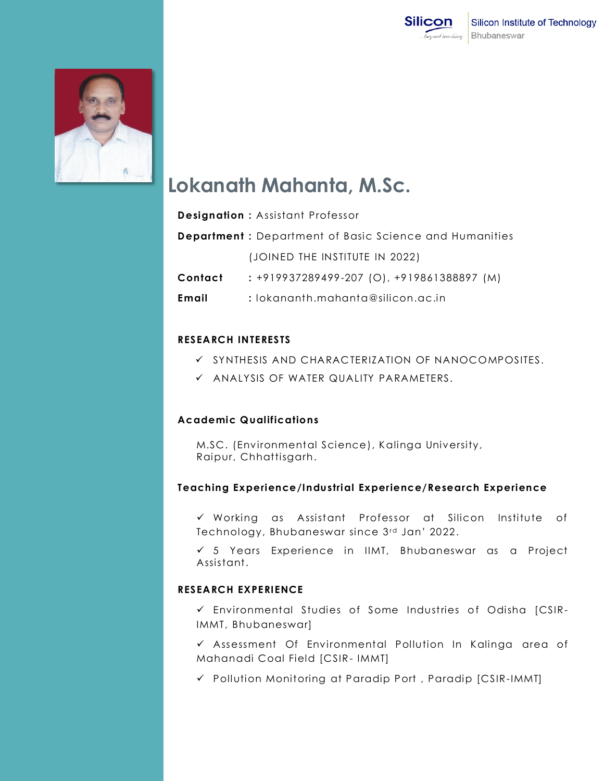



# **Lokanath Mahanta, M.Sc.**

|         | <b>Designation: Assistant Professor</b>                        |
|---------|----------------------------------------------------------------|
|         | <b>Department</b> : Department of Basic Science and Humanities |
|         | (JOINED THE INSTITUTE IN 2022)                                 |
| Contact | $: +919937289499 - 207$ (O), $+919861388897$ (M)               |
| Email   | : lokananth.mahanta@silicon.ac.in                              |

### **RESEARCH INTERESTS**

- $\checkmark$  synthesis and characterization of nanocomposites.
- $\checkmark$  analysis of water quality parameters.

### **Academic Qualifications**

M.SC. (Environmental Science), Kalinga University, Raipur, Chhattisgarh.

### **Teaching Experience/Industrial Experience/Research Experience**

 Working as Assistant Professor at Silicon Institute of Technology, Bhubaneswar since 3rd Jan' 2022.

 5 Years Experience in IIMT, Bhubaneswar as a Project Assistant.

#### **RESEARCH EXPERIENCE**

 $\checkmark$  Environmental Studies of Some Industries of Odisha [CSIR-IMMT, Bhubaneswar]

 $\checkmark$  Assessment Of Environmental Pollution In Kalinga area of Mahanadi Coal Field [CSIR- IMMT]

Pollution Monitoring at Paradip Port , Paradip [CSIR-IMMT]